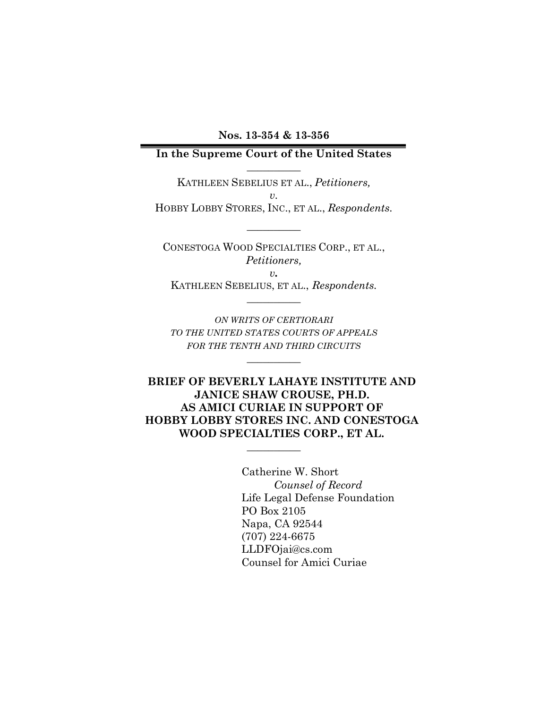**Nos. 13-354 & 13-356**

### **In the Supreme Court of the United States \_\_\_\_\_\_\_\_\_\_**

KATHLEEN SEBELIUS ET AL., *Petitioners, v.* HOBBY LOBBY STORES, INC., ET AL., *Respondents.*

**\_\_\_\_\_\_\_\_\_\_**

CONESTOGA WOOD SPECIALTIES CORP., ET AL., *Petitioners, v.* KATHLEEN SEBELIUS, ET AL., *Respondents.*

**\_\_\_\_\_\_\_\_\_\_**

*ON WRITS OF CERTIORARI TO THE UNITED STATES COURTS OF APPEALS FOR THE TENTH AND THIRD CIRCUITS*

**\_\_\_\_\_\_\_\_\_\_**

**BRIEF OF BEVERLY LAHAYE INSTITUTE AND JANICE SHAW CROUSE, PH.D. AS AMICI CURIAE IN SUPPORT OF HOBBY LOBBY STORES INC. AND CONESTOGA WOOD SPECIALTIES CORP., ET AL.** 

 $\overline{\phantom{a}}$  , where  $\overline{\phantom{a}}$ 

Catherine W. Short *Counsel of Record* Life Legal Defense Foundation PO Box 2105 Napa, CA 92544 (707) 224-6675 LLDFOjai@cs.com Counsel for Amici Curiae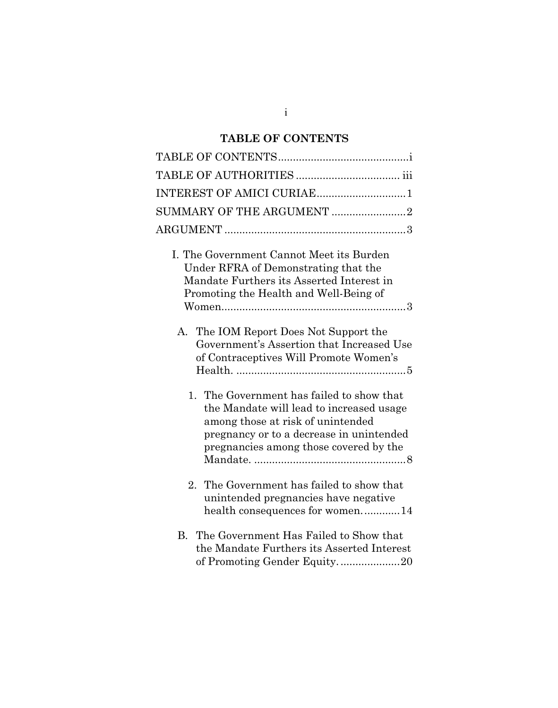# **TABLE OF CONTENTS**

| INTEREST OF AMICI CURIAE1                                                                                                                                                                                        |
|------------------------------------------------------------------------------------------------------------------------------------------------------------------------------------------------------------------|
| SUMMARY OF THE ARGUMENT 2                                                                                                                                                                                        |
|                                                                                                                                                                                                                  |
| I. The Government Cannot Meet its Burden<br>Under RFRA of Demonstrating that the<br>Mandate Furthers its Asserted Interest in<br>Promoting the Health and Well-Being of                                          |
| A. The IOM Report Does Not Support the<br>Government's Assertion that Increased Use<br>of Contraceptives Will Promote Women's                                                                                    |
| 1. The Government has failed to show that<br>the Mandate will lead to increased usage<br>among those at risk of unintended<br>pregnancy or to a decrease in unintended<br>pregnancies among those covered by the |
| The Government has failed to show that<br>2.<br>unintended pregnancies have negative<br>health consequences for women14                                                                                          |
| The Government Has Failed to Show that<br>$\bf{B}$<br>the Mandate Furthers its Asserted Interest<br>of Promoting Gender Equity20                                                                                 |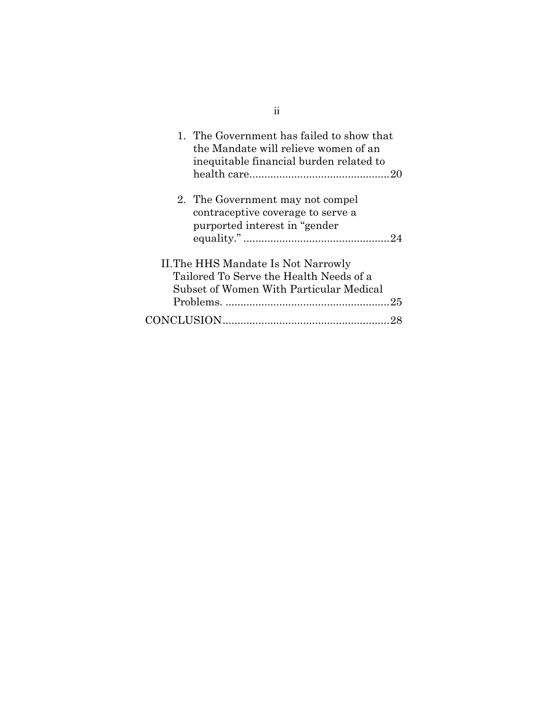| 1. The Government has failed to show that<br>the Mandate will relieve women of an<br>inequitable financial burden related to |  |
|------------------------------------------------------------------------------------------------------------------------------|--|
| 2. The Government may not compel<br>contraceptive coverage to serve a<br>purported interest in "gender"                      |  |
| II. The HHS Mandate Is Not Narrowly<br>Tailored To Serve the Health Needs of a<br>Subset of Women With Particular Medical    |  |

ii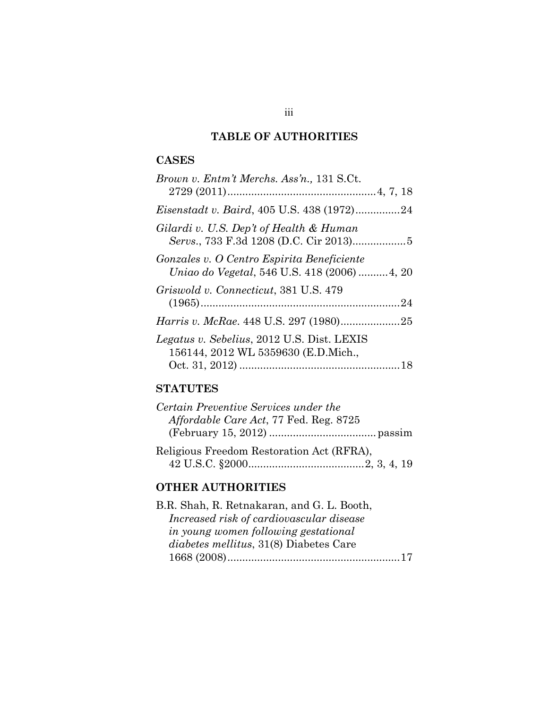## **TABLE OF AUTHORITIES**

### **CASES**

| Brown v. Entm't Merchs. Ass'n., 131 S.Ct.                                                  |  |
|--------------------------------------------------------------------------------------------|--|
|                                                                                            |  |
| <i>Eisenstadt v. Baird</i> , 405 U.S. 438 (1972)24                                         |  |
| Gilardi v. U.S. Dep't of Health & Human                                                    |  |
| Gonzales v. O Centro Espirita Beneficiente<br>Uniao do Vegetal, 546 U.S. 418 (2006)  4, 20 |  |
| Griswold v. Connecticut, 381 U.S. 479                                                      |  |
|                                                                                            |  |
| <i>Legatus v. Sebelius, 2012 U.S. Dist. LEXIS</i><br>156144, 2012 WL 5359630 (E.D.Mich.,   |  |
|                                                                                            |  |

## **STATUTES**

| Certain Preventive Services under the     |  |
|-------------------------------------------|--|
| Affordable Care Act, 77 Fed. Reg. 8725    |  |
|                                           |  |
| Religious Freedom Restoration Act (RFRA), |  |
|                                           |  |

## **OTHER AUTHORITIES**

| B.R. Shah, R. Retnakaran, and G. L. Booth,    |  |
|-----------------------------------------------|--|
| Increased risk of cardiovascular disease      |  |
| in young women following gestational          |  |
| <i>diabetes mellitus, 31(8)</i> Diabetes Care |  |
|                                               |  |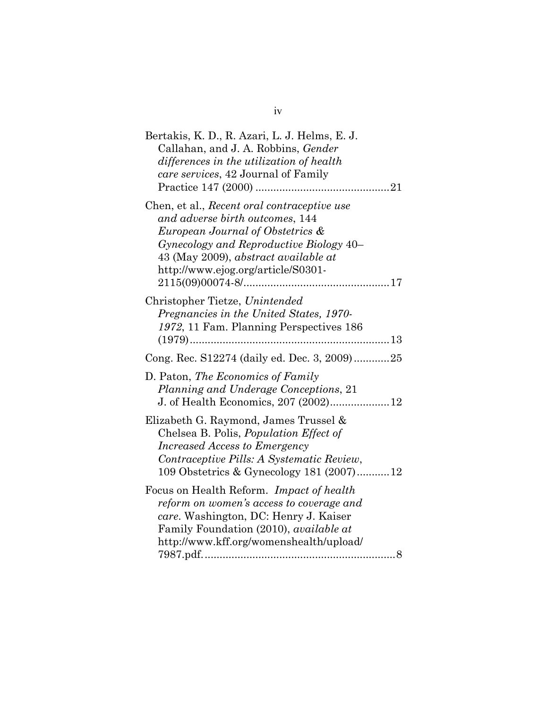| Bertakis, K. D., R. Azari, L. J. Helms, E. J.<br>Callahan, and J. A. Robbins, Gender<br>differences in the utilization of health<br>care services, 42 Journal of Family                                                                     |
|---------------------------------------------------------------------------------------------------------------------------------------------------------------------------------------------------------------------------------------------|
| Chen, et al., Recent oral contraceptive use<br>and adverse birth outcomes, 144<br>European Journal of Obstetrics &<br>Gynecology and Reproductive Biology 40–<br>43 (May 2009), abstract available at<br>http://www.ejog.org/article/S0301- |
| Christopher Tietze, Unintended<br>Pregnancies in the United States, 1970-<br>1972, 11 Fam. Planning Perspectives 186                                                                                                                        |
| Cong. Rec. S12274 (daily ed. Dec. 3, 2009)25                                                                                                                                                                                                |
| D. Paton, The Economics of Family<br>Planning and Underage Conceptions, 21<br>J. of Health Economics, 207 (2002)12                                                                                                                          |
| Elizabeth G. Raymond, James Trussel &<br>Chelsea B. Polis, <i>Population Effect of</i><br><b>Increased Access to Emergency</b><br>Contraceptive Pills: A Systematic Review,<br>109 Obstetrics & Gynecology 181 (2007)12                     |
| Focus on Health Reform. Impact of health<br>reform on women's access to coverage and<br>care. Washington, DC: Henry J. Kaiser<br>Family Foundation (2010), <i>available at</i><br>http://www.kff.org/womenshealth/upload/                   |

iv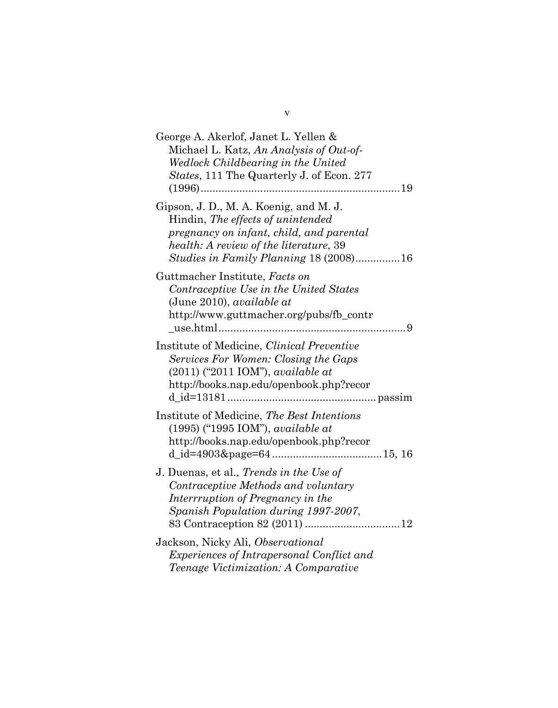| George A. Akerlof, Janet L. Yellen &<br>Michael L. Katz, An Analysis of Out-of-<br>Wedlock Childbearing in the United<br>States, 111 The Quarterly J. of Econ. 277                                                 |
|--------------------------------------------------------------------------------------------------------------------------------------------------------------------------------------------------------------------|
| Gipson, J. D., M. A. Koenig, and M. J.<br>Hindin, The effects of unintended<br>pregnancy on infant, child, and parental<br>health: A review of the literature, 39<br><i>Studies in Family Planning</i> 18 (2008)16 |
| Guttmacher Institute, Facts on<br>Contraceptive Use in the United States<br>(June 2010), <i>available at</i><br>http://www.guttmacher.org/pubs/fb_contr                                                            |
| Institute of Medicine, Clinical Preventive<br>Services For Women: Closing the Gaps<br>$(2011)$ ("2011 IOM"), <i>available at</i><br>http://books.nap.edu/openbook.php?recor                                        |
| Institute of Medicine, The Best Intentions<br>$(1995)$ ("1995 IOM"), available at<br>http://books.nap.edu/openbook.php?recor                                                                                       |
| J. Duenas, et al., <i>Trends in the Use of</i><br>Contraceptive Methods and voluntary<br>Interrruption of Pregnancy in the<br>Spanish Population during 1997-2007,                                                 |
| Jackson, Nicky Ali, Observational<br><i>Experiences of Intrapersonal Conflict and</i><br>Teenage Victimization: A Comparative                                                                                      |

v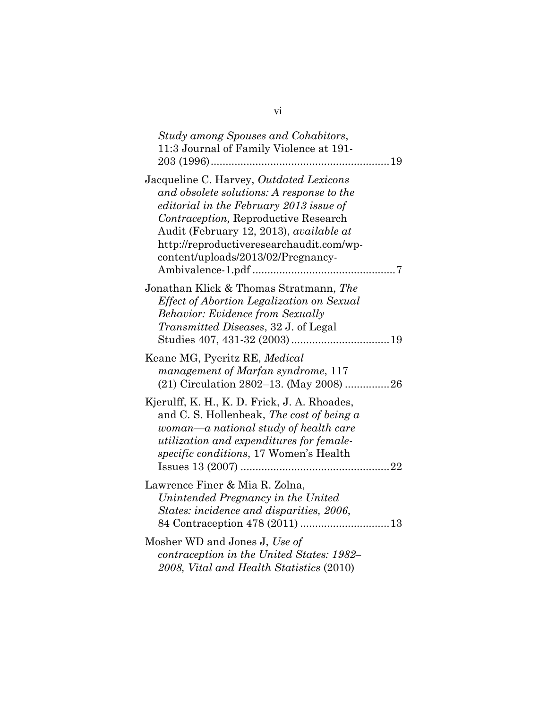| Study among Spouses and Cohabitors,<br>11:3 Journal of Family Violence at 191-                                                                                                                                                                                                                       |
|------------------------------------------------------------------------------------------------------------------------------------------------------------------------------------------------------------------------------------------------------------------------------------------------------|
| Jacqueline C. Harvey, Outdated Lexicons<br>and obsolete solutions: A response to the<br>editorial in the February 2013 issue of<br>Contraception, Reproductive Research<br>Audit (February 12, 2013), available at<br>http://reproductiveresearchaudit.com/wp-<br>content/uploads/2013/02/Pregnancy- |
| Jonathan Klick & Thomas Stratmann, The<br>Effect of Abortion Legalization on Sexual<br><b>Behavior: Evidence from Sexually</b><br><i>Transmitted Diseases</i> , 32 J. of Legal                                                                                                                       |
| Keane MG, Pyeritz RE, Medical<br>management of Marfan syndrome, 117<br>(21) Circulation 2802-13. (May 2008) 26                                                                                                                                                                                       |
| Kjerulff, K. H., K. D. Frick, J. A. Rhoades,<br>and C. S. Hollenbeak, The cost of being a<br>woman—a national study of health care<br><i>utilization and expenditures for female-</i><br>specific conditions, 17 Women's Health                                                                      |
| Lawrence Finer & Mia R. Zolna,<br>Unintended Pregnancy in the United<br>States: incidence and disparities, 2006,                                                                                                                                                                                     |
| Mosher WD and Jones J, Use of<br>contraception in the United States: 1982–<br>2008, Vital and Health Statistics (2010)                                                                                                                                                                               |

vi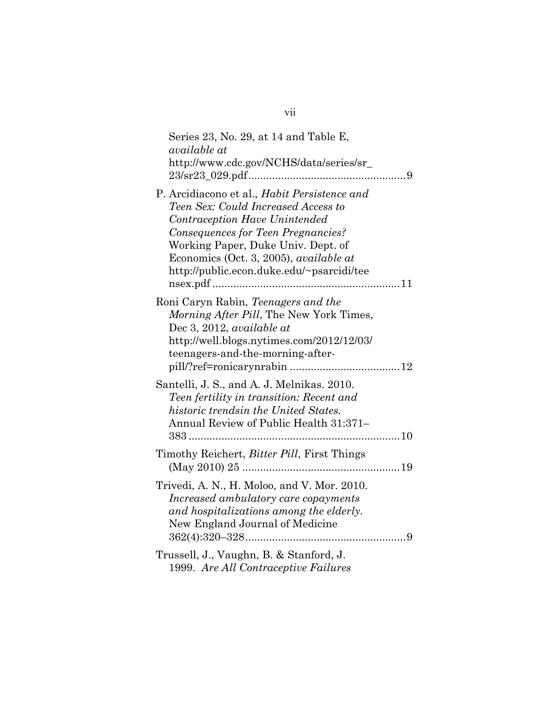| Series 23, No. 29, at 14 and Table E,<br>available at<br>http://www.cdc.gov/NCHS/data/series/sr_                                                                                                                                                                                        |  |
|-----------------------------------------------------------------------------------------------------------------------------------------------------------------------------------------------------------------------------------------------------------------------------------------|--|
| P. Arcidiacono et al., Habit Persistence and<br>Teen Sex: Could Increased Access to<br>Contraception Have Unintended<br>Consequences for Teen Pregnancies?<br>Working Paper, Duke Univ. Dept. of<br>Economics (Oct. 3, 2005), available at<br>http://public.econ.duke.edu/~psarcidi/tee |  |
| Roni Caryn Rabin, Teenagers and the<br>Morning After Pill, The New York Times,<br>Dec 3, 2012, available at<br>http://well.blogs.nytimes.com/2012/12/03/<br>teenagers-and-the-morning-after-                                                                                            |  |
| Santelli, J. S., and A. J. Melnikas. 2010.<br>Teen fertility in transition: Recent and<br>historic trendsin the United States.<br>Annual Review of Public Health 31:371-                                                                                                                |  |
| Timothy Reichert, <i>Bitter Pill</i> , First Things                                                                                                                                                                                                                                     |  |
| Trivedi, A. N., H. Moloo, and V. Mor. 2010.<br>Increased ambulatory care copayments<br>and hospitalizations among the elderly.<br>New England Journal of Medicine                                                                                                                       |  |
| Trussell, J., Vaughn, B. & Stanford, J.<br>1999. Are All Contraceptive Failures                                                                                                                                                                                                         |  |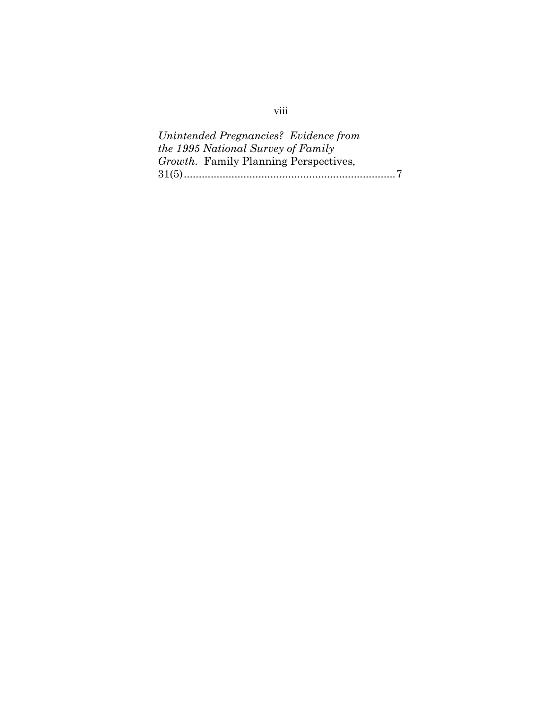*Unintended Pregnancies? Evidence from the 1995 National Survey of Family Growth.* Family Planning Perspectives*,*  31(5).......................................................................7

## viii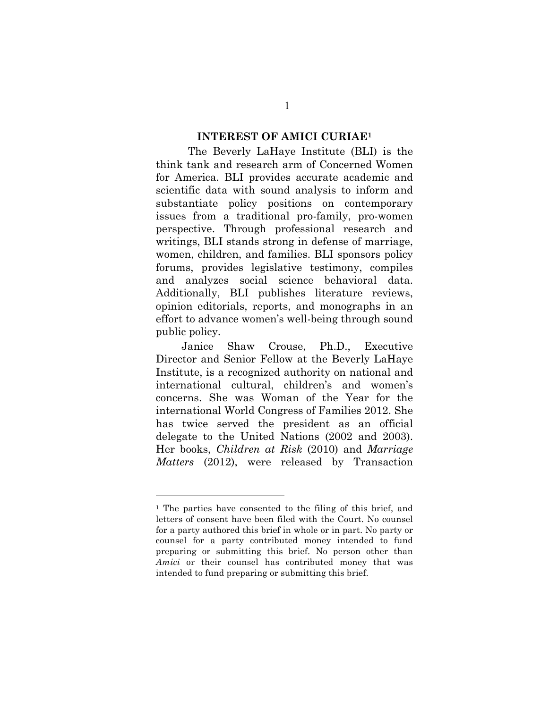#### **INTEREST OF AMICI CURIAE1**

The Beverly LaHaye Institute (BLI) is the think tank and research arm of Concerned Women for America. BLI provides accurate academic and scientific data with sound analysis to inform and substantiate policy positions on contemporary issues from a traditional pro-family, pro-women perspective. Through professional research and writings, BLI stands strong in defense of marriage, women, children, and families. BLI sponsors policy forums, provides legislative testimony, compiles and analyzes social science behavioral data. Additionally, BLI publishes literature reviews, opinion editorials, reports, and monographs in an effort to advance women's well-being through sound public policy.

Janice Shaw Crouse, Ph.D., Executive Director and Senior Fellow at the Beverly LaHaye Institute, is a recognized authority on national and international cultural, children's and women's concerns. She was Woman of the Year for the international World Congress of Families 2012. She has twice served the president as an official delegate to the United Nations (2002 and 2003). Her books, *Children at Risk* (2010) and *Marriage Matters* (2012), were released by Transaction

1

1

<sup>1</sup> The parties have consented to the filing of this brief, and letters of consent have been filed with the Court. No counsel for a party authored this brief in whole or in part. No party or counsel for a party contributed money intended to fund preparing or submitting this brief. No person other than *Amici* or their counsel has contributed money that was intended to fund preparing or submitting this brief.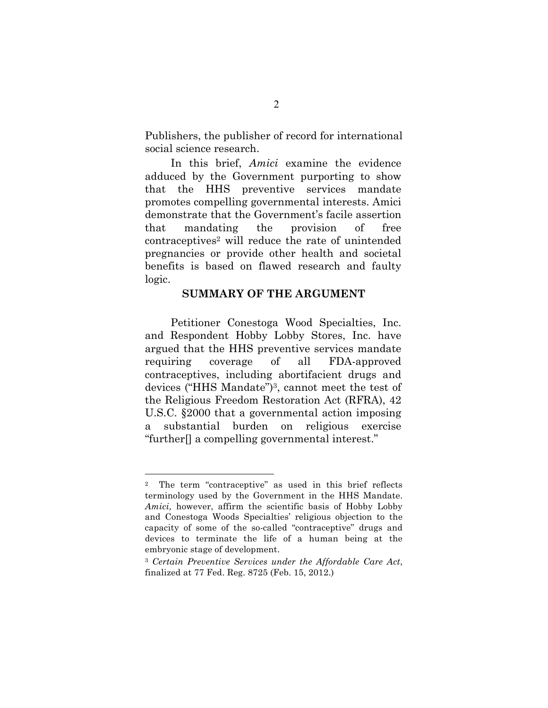Publishers, the publisher of record for international social science research.

In this brief, *Amici* examine the evidence adduced by the Government purporting to show that the HHS preventive services mandate promotes compelling governmental interests. Amici demonstrate that the Government's facile assertion that mandating the provision of free contraceptives2 will reduce the rate of unintended pregnancies or provide other health and societal benefits is based on flawed research and faulty logic.

#### **SUMMARY OF THE ARGUMENT**

Petitioner Conestoga Wood Specialties, Inc. and Respondent Hobby Lobby Stores, Inc. have argued that the HHS preventive services mandate requiring coverage of all FDA-approved contraceptives, including abortifacient drugs and devices ("HHS Mandate")3, cannot meet the test of the Religious Freedom Restoration Act (RFRA), 42 U.S.C. §2000 that a governmental action imposing substantial burden on religious exercise "further[] a compelling governmental interest."

<sup>2</sup> The term "contraceptive" as used in this brief reflects terminology used by the Government in the HHS Mandate. *Amici,* however, affirm the scientific basis of Hobby Lobby and Conestoga Woods Specialties' religious objection to the capacity of some of the so-called "contraceptive" drugs and devices to terminate the life of a human being at the embryonic stage of development.

<sup>3</sup> *Certain Preventive Services under the Affordable Care Act*, finalized at 77 Fed. Reg. 8725 (Feb. 15, 2012.)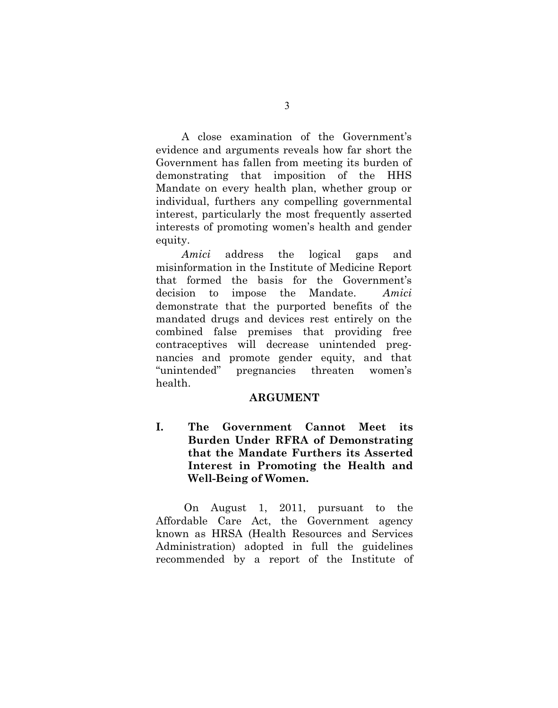A close examination of the Government's evidence and arguments reveals how far short the Government has fallen from meeting its burden of demonstrating that imposition of the HHS Mandate on every health plan, whether group or individual, furthers any compelling governmental interest, particularly the most frequently asserted interests of promoting women's health and gender equity.

*Amici* address the logical gaps and misinformation in the Institute of Medicine Report that formed the basis for the Government's decision to impose the Mandate. *Amici* demonstrate that the purported benefits of the mandated drugs and devices rest entirely on the combined false premises that providing free contraceptives will decrease unintended pregnancies and promote gender equity, and that "unintended" pregnancies threaten women's health.

#### **ARGUMENT**

**I. The Government Cannot Meet its Burden Under RFRA of Demonstrating that the Mandate Furthers its Asserted Interest in Promoting the Health and Well-Being of Women.**

On August 1, 2011, pursuant to the Affordable Care Act, the Government agency known as HRSA (Health Resources and Services Administration) adopted in full the guidelines recommended by a report of the Institute of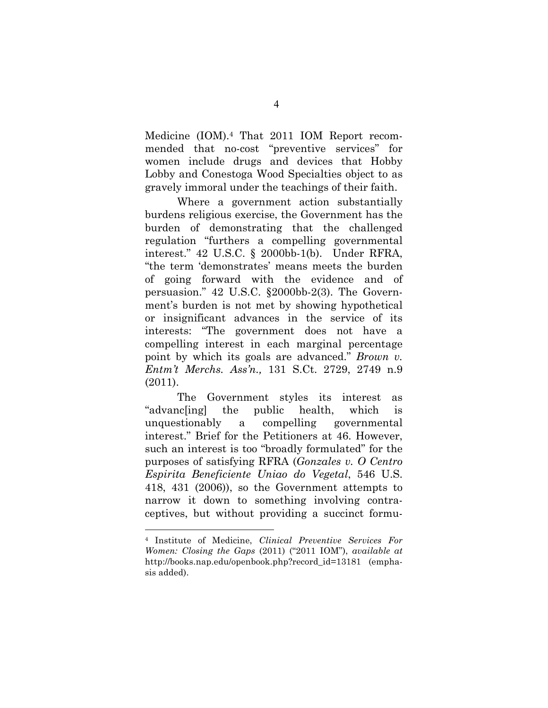Medicine (IOM).4 That 2011 IOM Report recommended that no-cost "preventive services" for women include drugs and devices that Hobby Lobby and Conestoga Wood Specialties object to as gravely immoral under the teachings of their faith.

Where a government action substantially burdens religious exercise, the Government has the burden of demonstrating that the challenged regulation "furthers a compelling governmental interest." 42 U.S.C. § 2000bb-1(b). Under RFRA, "the term 'demonstrates' means meets the burden of going forward with the evidence and of persuasion." 42 U.S.C. §2000bb-2(3). The Government's burden is not met by showing hypothetical or insignificant advances in the service of its interests: "The government does not have a compelling interest in each marginal percentage point by which its goals are advanced." *Brown v. Entm't Merchs. Ass'n.,* 131 S.Ct. 2729, 2749 n.9 (2011).

The Government styles its interest as "advanc[ing] the public health, which is unquestionably a compelling governmental interest." Brief for the Petitioners at 46. However, such an interest is too "broadly formulated" for the purposes of satisfying RFRA (*Gonzales v. O Centro Espirita Beneficiente Uniao do Vegetal*, 546 U.S. 418, 431 (2006)), so the Government attempts to narrow it down to something involving contraceptives, but without providing a succinct formu-

<sup>4</sup> Institute of Medicine, *Clinical Preventive Services For Women: Closing the Gaps* (2011) ("2011 IOM"), *available at* http://books.nap.edu/openbook.php?record\_id=13181 (emphasis added).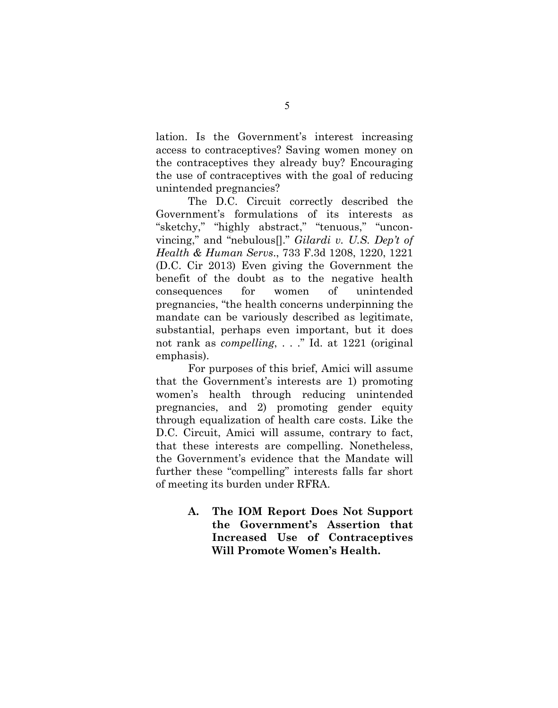lation. Is the Government's interest increasing access to contraceptives? Saving women money on the contraceptives they already buy? Encouraging the use of contraceptives with the goal of reducing unintended pregnancies?

The D.C. Circuit correctly described the Government's formulations of its interests as "sketchy," "highly abstract," "tenuous," "unconvincing," and "nebulous[]." *Gilardi v. U.S. Dep't of Health & Human Servs*., 733 F.3d 1208, 1220, 1221 (D.C. Cir 2013) Even giving the Government the benefit of the doubt as to the negative health consequences for women of unintended pregnancies, "the health concerns underpinning the mandate can be variously described as legitimate, substantial, perhaps even important, but it does not rank as *compelling*, . . ." Id. at 1221 (original emphasis).

For purposes of this brief, Amici will assume that the Government's interests are 1) promoting women's health through reducing unintended pregnancies, and 2) promoting gender equity through equalization of health care costs. Like the D.C. Circuit, Amici will assume, contrary to fact, that these interests are compelling. Nonetheless, the Government's evidence that the Mandate will further these "compelling" interests falls far short of meeting its burden under RFRA.

> **A. The IOM Report Does Not Support the Government's Assertion that Increased Use of Contraceptives Will Promote Women's Health.**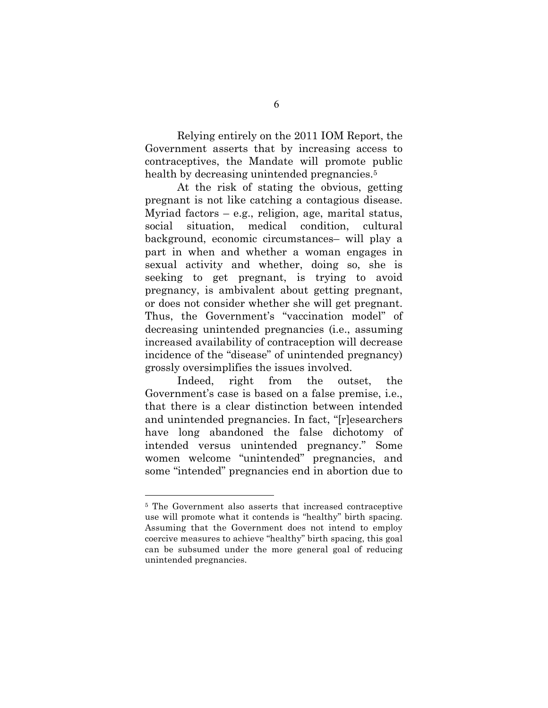Relying entirely on the 2011 IOM Report, the Government asserts that by increasing access to contraceptives, the Mandate will promote public health by decreasing unintended pregnancies.<sup>5</sup>

At the risk of stating the obvious, getting pregnant is not like catching a contagious disease. Myriad factors  $-$  e.g., religion, age, marital status, social situation, medical condition, cultural background, economic circumstances– will play a part in when and whether a woman engages in sexual activity and whether, doing so, she is seeking to get pregnant, is trying to avoid pregnancy, is ambivalent about getting pregnant, or does not consider whether she will get pregnant. Thus, the Government's "vaccination model" of decreasing unintended pregnancies (i.e., assuming increased availability of contraception will decrease incidence of the "disease" of unintended pregnancy) grossly oversimplifies the issues involved.

Indeed, right from the outset, the Government's case is based on a false premise, i.e., that there is a clear distinction between intended and unintended pregnancies. In fact, "[r]esearchers have long abandoned the false dichotomy of intended versus unintended pregnancy." Some women welcome "unintended" pregnancies, and some "intended" pregnancies end in abortion due to

<sup>5</sup> The Government also asserts that increased contraceptive use will promote what it contends is "healthy" birth spacing. Assuming that the Government does not intend to employ coercive measures to achieve "healthy" birth spacing, this goal can be subsumed under the more general goal of reducing unintended pregnancies.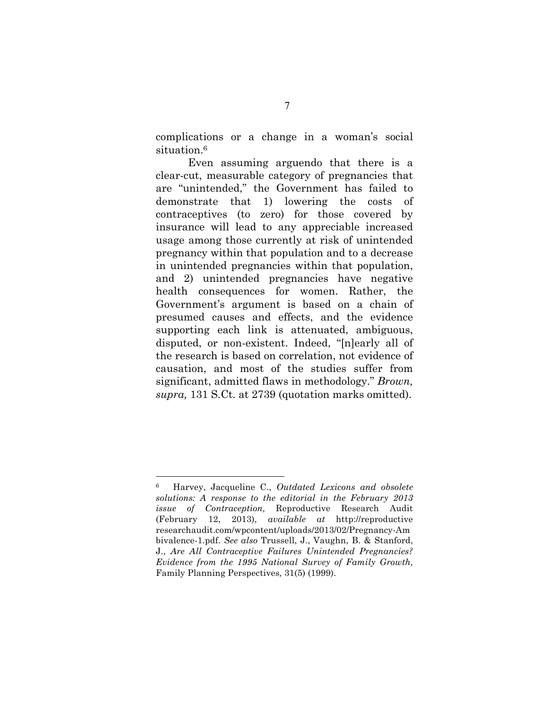complications or a change in a woman's social situation.<sup>6</sup>

Even assuming arguendo that there is a clear-cut, measurable category of pregnancies that are "unintended," the Government has failed to demonstrate that 1) lowering the costs of contraceptives (to zero) for those covered by insurance will lead to any appreciable increased usage among those currently at risk of unintended pregnancy within that population and to a decrease in unintended pregnancies within that population, and 2) unintended pregnancies have negative health consequences for women. Rather, the Government's argument is based on a chain of presumed causes and effects, and the evidence supporting each link is attenuated, ambiguous, disputed, or non-existent. Indeed, "[n]early all of the research is based on correlation, not evidence of causation, and most of the studies suffer from significant, admitted flaws in methodology." *Brown, supra,* 131 S.Ct. at 2739 (quotation marks omitted).

<sup>6</sup> Harvey, Jacqueline C., *Outdated Lexicons and obsolete solutions: A response to the editorial in the February 2013 issue of Contraception,* Reproductive Research Audit (February 12, 2013), *available at* http://reproductive researchaudit.com/wpcontent/uploads/2013/02/Pregnancy-Am bivalence-1.pdf. *See also* Trussell, J., Vaughn, B. & Stanford, J., *Are All Contraceptive Failures Unintended Pregnancies? Evidence from the 1995 National Survey of Family Growth,* Family Planning Perspectives*,* 31(5) (1999).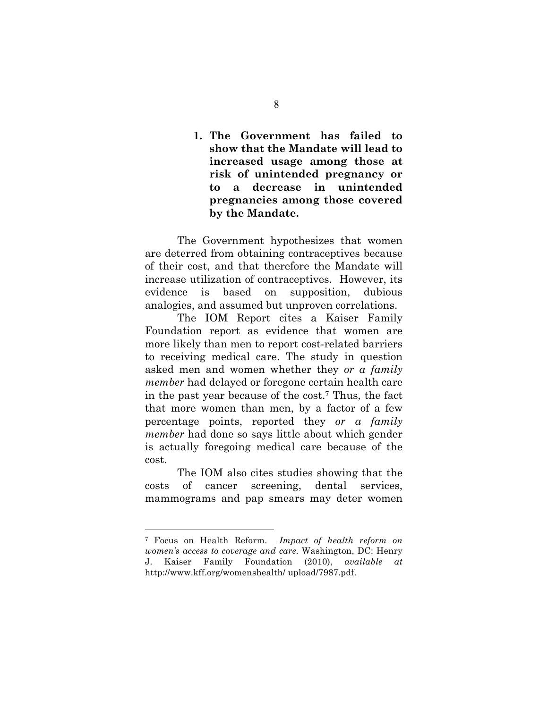**1. The Government has failed to show that the Mandate will lead to increased usage among those at risk of unintended pregnancy or to a decrease in unintended pregnancies among those covered by the Mandate.**

The Government hypothesizes that women are deterred from obtaining contraceptives because of their cost, and that therefore the Mandate will increase utilization of contraceptives. However, its evidence is based on supposition, dubious analogies, and assumed but unproven correlations.

The IOM Report cites a Kaiser Family Foundation report as evidence that women are more likely than men to report cost-related barriers to receiving medical care. The study in question asked men and women whether they *or a family member* had delayed or foregone certain health care in the past year because of the cost.7 Thus, the fact that more women than men, by a factor of a few percentage points, reported they *or a family member* had done so says little about which gender is actually foregoing medical care because of the cost.

The IOM also cites studies showing that the costs of cancer screening, dental services, mammograms and pap smears may deter women

<sup>7</sup> Focus on Health Reform. *Impact of health reform on women's access to coverage and care*. Washington, DC: Henry J. Kaiser Family Foundation (2010), *available at*  http://www.kff.org/womenshealth/ upload/7987.pdf.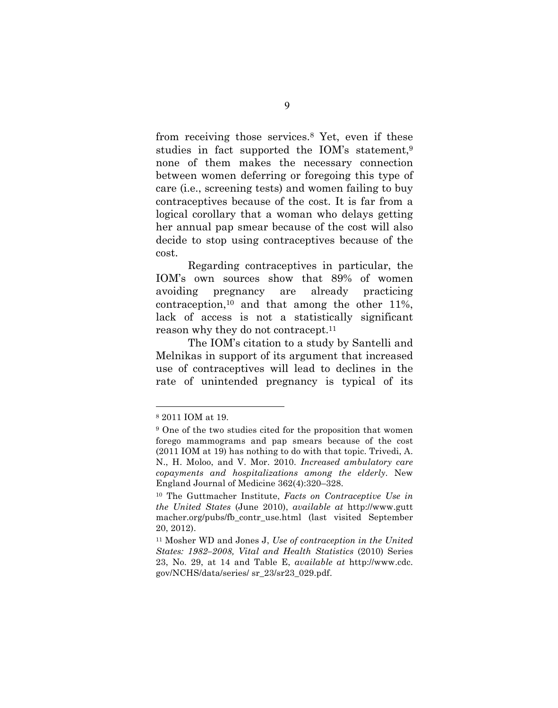from receiving those services.8 Yet, even if these studies in fact supported the IOM's statement,<sup>9</sup> none of them makes the necessary connection between women deferring or foregoing this type of care (i.e., screening tests) and women failing to buy contraceptives because of the cost. It is far from a logical corollary that a woman who delays getting her annual pap smear because of the cost will also decide to stop using contraceptives because of the cost.

Regarding contraceptives in particular, the IOM's own sources show that 89% of women avoiding pregnancy are already practicing contraception,10 and that among the other 11%, lack of access is not a statistically significant reason why they do not contracept.<sup>11</sup>

The IOM's citation to a study by Santelli and Melnikas in support of its argument that increased use of contraceptives will lead to declines in the rate of unintended pregnancy is typical of its

<sup>8</sup> 2011 IOM at 19.

<sup>9</sup> One of the two studies cited for the proposition that women forego mammograms and pap smears because of the cost (2011 IOM at 19) has nothing to do with that topic. Trivedi, A. N., H. Moloo, and V. Mor. 2010. *Increased ambulatory care copayments and hospitalizations among the elderly*. New England Journal of Medicine 362(4):320–328.

<sup>10</sup> The Guttmacher Institute, *Facts on Contraceptive Use in the United States* (June 2010), *available at* http://www.gutt macher.org/pubs/fb\_contr\_use.html (last visited September 20, 2012).

<sup>11</sup> Mosher WD and Jones J, *Use of contraception in the United States: 1982–2008, Vital and Health Statistics* (2010) Series 23, No. 29, at 14 and Table E, *available at* http://www.cdc. gov/NCHS/data/series/ sr\_23/sr23\_029.pdf.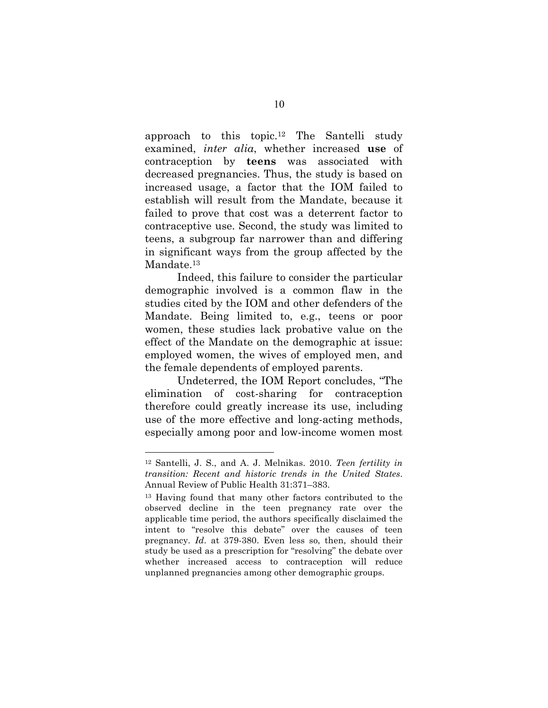approach to this topic.<sup>12</sup> The Santelli study examined, *inter alia*, whether increased **use** of contraception by **teens** was associated with decreased pregnancies. Thus, the study is based on increased usage, a factor that the IOM failed to establish will result from the Mandate, because it failed to prove that cost was a deterrent factor to contraceptive use. Second, the study was limited to teens, a subgroup far narrower than and differing in significant ways from the group affected by the Mandate.<sup>13</sup>

Indeed, this failure to consider the particular demographic involved is a common flaw in the studies cited by the IOM and other defenders of the Mandate. Being limited to, e.g., teens or poor women, these studies lack probative value on the effect of the Mandate on the demographic at issue: employed women, the wives of employed men, and the female dependents of employed parents.

Undeterred, the IOM Report concludes, "The elimination of cost-sharing for contraception therefore could greatly increase its use, including use of the more effective and long-acting methods, especially among poor and low-income women most

<sup>12</sup> Santelli, J. S., and A. J. Melnikas. 2010. *Teen fertility in transition: Recent and historic trends in the United States*. Annual Review of Public Health 31:371–383.

<sup>13</sup> Having found that many other factors contributed to the observed decline in the teen pregnancy rate over the applicable time period, the authors specifically disclaimed the intent to "resolve this debate" over the causes of teen pregnancy. *Id*. at 379-380. Even less so, then, should their study be used as a prescription for "resolving" the debate over whether increased access to contraception will reduce unplanned pregnancies among other demographic groups.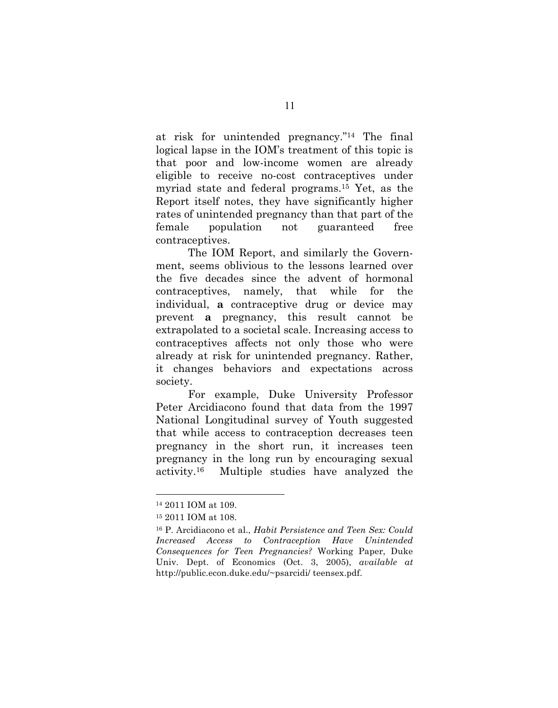at risk for unintended pregnancy."14 The final logical lapse in the IOM's treatment of this topic is that poor and low-income women are already eligible to receive no-cost contraceptives under myriad state and federal programs.15 Yet, as the Report itself notes, they have significantly higher rates of unintended pregnancy than that part of the female population not guaranteed free contraceptives.

The IOM Report, and similarly the Government, seems oblivious to the lessons learned over the five decades since the advent of hormonal contraceptives, namely, that while for the individual, **a** contraceptive drug or device may prevent **a** pregnancy, this result cannot be extrapolated to a societal scale. Increasing access to contraceptives affects not only those who were already at risk for unintended pregnancy. Rather, it changes behaviors and expectations across society.

For example, Duke University Professor Peter Arcidiacono found that data from the 1997 National Longitudinal survey of Youth suggested that while access to contraception decreases teen pregnancy in the short run, it increases teen pregnancy in the long run by encouraging sexual activity.16 Multiple studies have analyzed the

1

<sup>14</sup> 2011 IOM at 109.

<sup>15</sup> 2011 IOM at 108.

<sup>16</sup> P. Arcidiacono et al., *Habit Persistence and Teen Sex: Could Increased Access to Contraception Have Unintended Consequences for Teen Pregnancies?* Working Paper, Duke Univ. Dept. of Economics (Oct. 3, 2005), *available at* http://public.econ.duke.edu/~psarcidi/ teensex.pdf.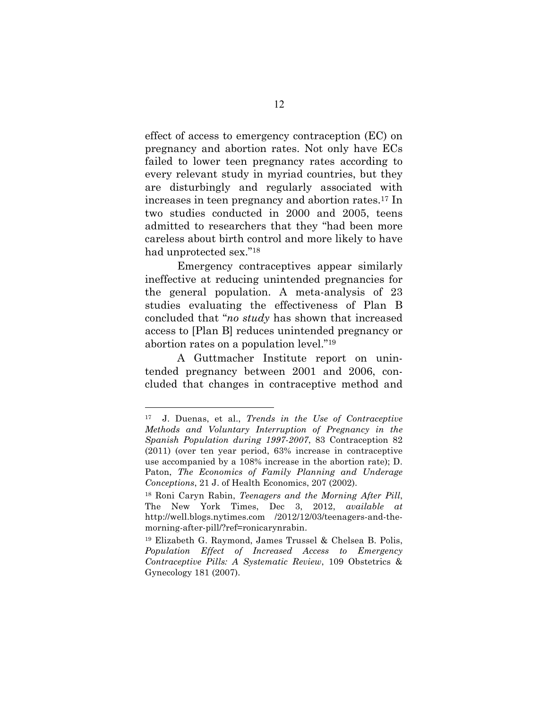effect of access to emergency contraception (EC) on pregnancy and abortion rates. Not only have ECs failed to lower teen pregnancy rates according to every relevant study in myriad countries, but they are disturbingly and regularly associated with increases in teen pregnancy and abortion rates.17 In two studies conducted in 2000 and 2005, teens admitted to researchers that they "had been more careless about birth control and more likely to have had unprotected sex."18

Emergency contraceptives appear similarly ineffective at reducing unintended pregnancies for the general population. A meta-analysis of 23 studies evaluating the effectiveness of Plan B concluded that "*no study* has shown that increased access to [Plan B] reduces unintended pregnancy or abortion rates on a population level."19

A Guttmacher Institute report on unintended pregnancy between 2001 and 2006, concluded that changes in contraceptive method and

<sup>17</sup> J. Duenas, et al., *Trends in the Use of Contraceptive Methods and Voluntary Interruption of Pregnancy in the Spanish Population during 1997-2007*, 83 Contraception 82 (2011) (over ten year period, 63% increase in contraceptive use accompanied by a 108% increase in the abortion rate); D. Paton, *The Economics of Family Planning and Underage Conceptions*, 21 J. of Health Economics, 207 (2002).

<sup>18</sup> Roni Caryn Rabin, *Teenagers and the Morning After Pill*, The New York Times, Dec 3, 2012, *available at* http://well.blogs.nytimes.com /2012/12/03/teenagers-and-themorning-after-pill/?ref=ronicarynrabin.

<sup>19</sup> Elizabeth G. Raymond, James Trussel & Chelsea B. Polis, *Population Effect of Increased Access to Emergency Contraceptive Pills: A Systematic Review*, 109 Obstetrics & Gynecology 181 (2007).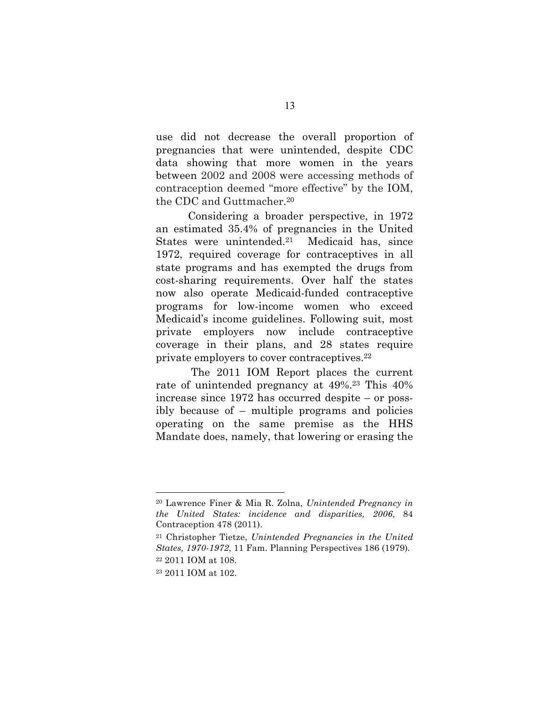use did not decrease the overall proportion of pregnancies that were unintended, despite CDC data showing that more women in the years between 2002 and 2008 were accessing methods of contraception deemed "more effective" by the IOM, the CDC and Guttmacher.20

Considering a broader perspective, in 1972 an estimated 35.4% of pregnancies in the United States were unintended.21 Medicaid has, since 1972, required coverage for contraceptives in all state programs and has exempted the drugs from cost-sharing requirements. Over half the states now also operate Medicaid-funded contraceptive programs for low-income women who exceed Medicaid's income guidelines. Following suit, most private employers now include contraceptive coverage in their plans, and 28 states require private employers to cover contraceptives.22

The 2011 IOM Report places the current rate of unintended pregnancy at 49%.23 This 40% increase since 1972 has occurred despite – or possibly because of – multiple programs and policies operating on the same premise as the HHS Mandate does, namely, that lowering or erasing the

1

<sup>20</sup> Lawrence Finer & Mia R. Zolna, *Unintended Pregnancy in the United States: incidence and disparities, 2006*, 84 Contraception 478 (2011).

<sup>21</sup> Christopher Tietze, *Unintended Pregnancies in the United States, 1970-1972*, 11 Fam. Planning Perspectives 186 (1979).

<sup>22</sup> 2011 IOM at 108.

<sup>23</sup> 2011 IOM at 102.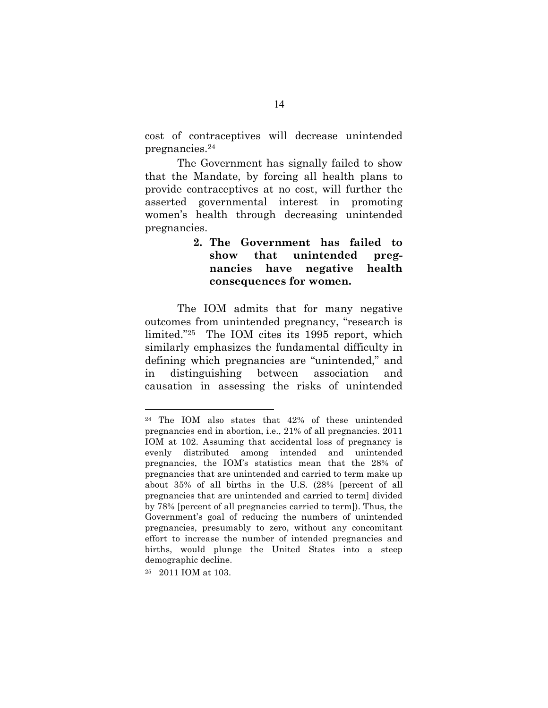cost of contraceptives will decrease unintended pregnancies.24

The Government has signally failed to show that the Mandate, by forcing all health plans to provide contraceptives at no cost, will further the asserted governmental interest in promoting women's health through decreasing unintended pregnancies.

### **2. The Government has failed to show that unintended pregnancies have negative health consequences for women.**

The IOM admits that for many negative outcomes from unintended pregnancy, "research is limited."25 The IOM cites its 1995 report, which similarly emphasizes the fundamental difficulty in defining which pregnancies are "unintended," and in distinguishing between association and causation in assessing the risks of unintended

25 2011 IOM at 103.

<sup>24</sup> The IOM also states that 42% of these unintended pregnancies end in abortion, i.e., 21% of all pregnancies. 2011 IOM at 102. Assuming that accidental loss of pregnancy is evenly distributed among intended and unintended pregnancies, the IOM's statistics mean that the 28% of pregnancies that are unintended and carried to term make up about 35% of all births in the U.S. (28% [percent of all pregnancies that are unintended and carried to term] divided by 78% [percent of all pregnancies carried to term]). Thus, the Government's goal of reducing the numbers of unintended pregnancies, presumably to zero, without any concomitant effort to increase the number of intended pregnancies and births, would plunge the United States into a steep demographic decline.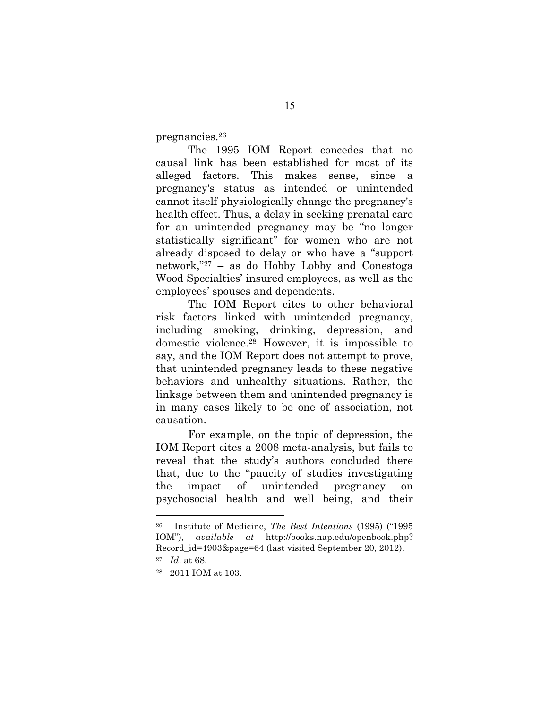pregnancies.26

The 1995 IOM Report concedes that no causal link has been established for most of its alleged factors. This makes sense, since a pregnancy's status as intended or unintended cannot itself physiologically change the pregnancy's health effect. Thus, a delay in seeking prenatal care for an unintended pregnancy may be "no longer statistically significant" for women who are not already disposed to delay or who have a "support network,"27 – as do Hobby Lobby and Conestoga Wood Specialties' insured employees, as well as the employees' spouses and dependents.

The IOM Report cites to other behavioral risk factors linked with unintended pregnancy, including smoking, drinking, depression, and domestic violence.28 However, it is impossible to say, and the IOM Report does not attempt to prove, that unintended pregnancy leads to these negative behaviors and unhealthy situations. Rather, the linkage between them and unintended pregnancy is in many cases likely to be one of association, not causation.

For example, on the topic of depression, the IOM Report cites a 2008 meta-analysis, but fails to reveal that the study's authors concluded there that, due to the "paucity of studies investigating the impact of unintended pregnancy on psychosocial health and well being, and their

<sup>26</sup> Institute of Medicine, *The Best Intentions* (1995) ("1995 IOM"), *available at* http://books.nap.edu/openbook.php? Record id=4903&page=64 (last visited September 20, 2012).

<sup>27</sup> *Id*. at 68.

<sup>28 2011</sup> IOM at 103.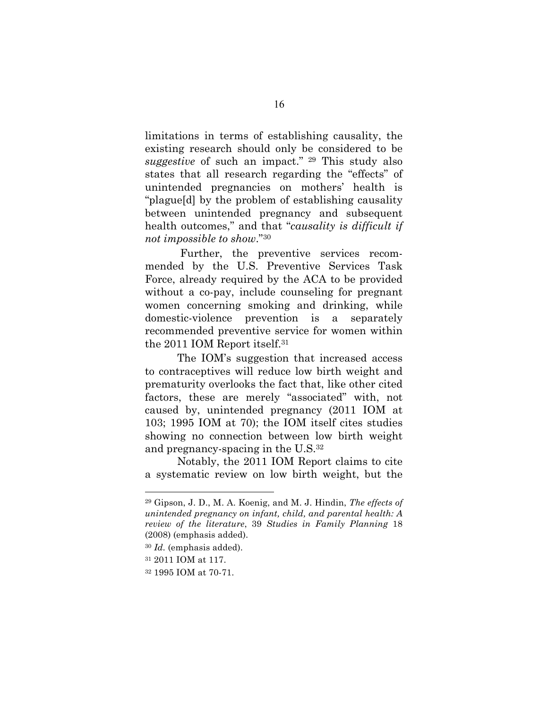limitations in terms of establishing causality, the existing research should only be considered to be *suggestive* of such an impact." <sup>29</sup> This study also states that all research regarding the "effects" of unintended pregnancies on mothers' health is "plague[d] by the problem of establishing causality between unintended pregnancy and subsequent health outcomes," and that "*causality is difficult if not impossible to show*."30

Further, the preventive services recommended by the U.S. Preventive Services Task Force, already required by the ACA to be provided without a co-pay, include counseling for pregnant women concerning smoking and drinking, while domestic-violence prevention is a separately recommended preventive service for women within the 2011 IOM Report itself.31

The IOM's suggestion that increased access to contraceptives will reduce low birth weight and prematurity overlooks the fact that, like other cited factors, these are merely "associated" with, not caused by, unintended pregnancy (2011 IOM at 103; 1995 IOM at 70); the IOM itself cites studies showing no connection between low birth weight and pregnancy-spacing in the U.S.32

Notably, the 2011 IOM Report claims to cite a systematic review on low birth weight, but the

<sup>29</sup> Gipson, J. D., M. A. Koenig, and M. J. Hindin, *The effects of unintended pregnancy on infant, child, and parental health: A review of the literature*, 39 *Studies in Family Planning* 18 (2008) (emphasis added).

<sup>30</sup> *Id.* (emphasis added).

<sup>31</sup> 2011 IOM at 117.

<sup>32</sup> 1995 IOM at 70-71.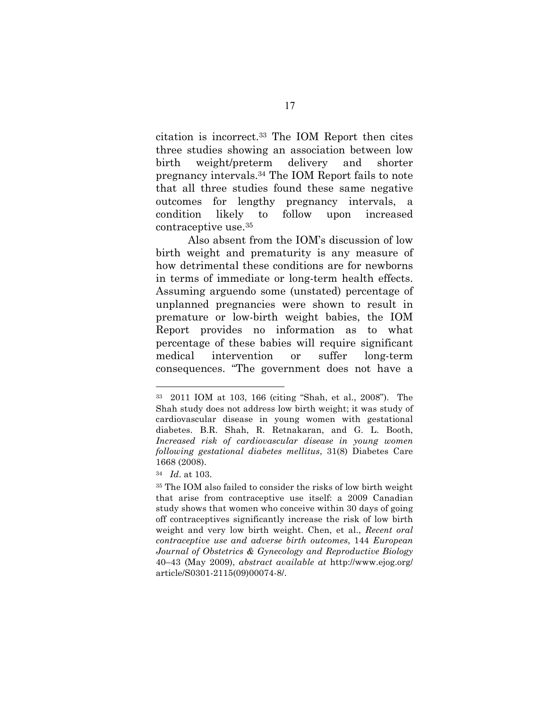citation is incorrect.33 The IOM Report then cites three studies showing an association between low birth weight/preterm delivery and shorter pregnancy intervals.34 The IOM Report fails to note that all three studies found these same negative outcomes for lengthy pregnancy intervals, a condition likely to follow upon increased contraceptive use.35

Also absent from the IOM's discussion of low birth weight and prematurity is any measure of how detrimental these conditions are for newborns in terms of immediate or long-term health effects. Assuming arguendo some (unstated) percentage of unplanned pregnancies were shown to result in premature or low-birth weight babies, the IOM Report provides no information as to what percentage of these babies will require significant medical intervention or suffer long-term consequences. "The government does not have a

<sup>33 2011</sup> IOM at 103, 166 (citing "Shah, et al., 2008"). The Shah study does not address low birth weight; it was study of cardiovascular disease in young women with gestational diabetes. B.R. Shah, R. Retnakaran, and G. L. Booth, *Increased risk of cardiovascular disease in young women following gestational diabetes mellitus*, 31(8) Diabetes Care 1668 (2008).

<sup>34</sup> *Id*. at 103.

<sup>35</sup> The IOM also failed to consider the risks of low birth weight that arise from contraceptive use itself: a 2009 Canadian study shows that women who conceive within 30 days of going off contraceptives significantly increase the risk of low birth weight and very low birth weight. Chen, et al., *Recent oral contraceptive use and adverse birth outcomes*, 144 *European Journal of Obstetrics & Gynecology and Reproductive Biology* 40–43 (May 2009), *abstract available at* http://www.ejog.org/ article/S0301-2115(09)00074-8/.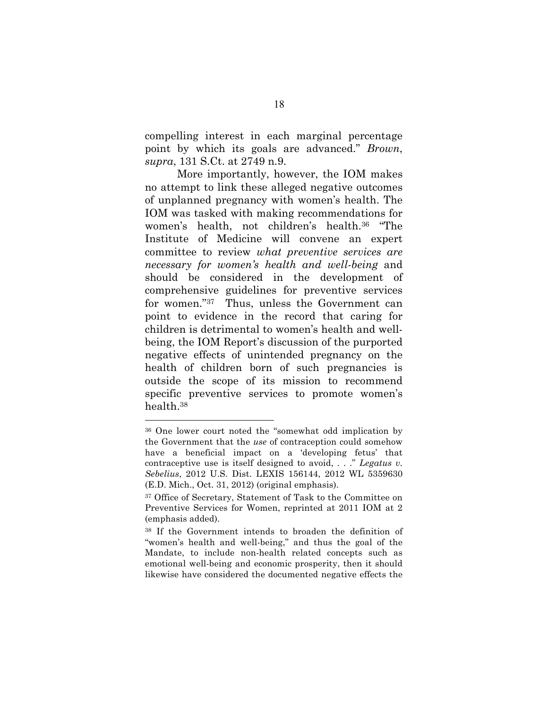compelling interest in each marginal percentage point by which its goals are advanced." *Brown*, *supra*, 131 S.Ct. at 2749 n.9.

More importantly, however, the IOM makes no attempt to link these alleged negative outcomes of unplanned pregnancy with women's health. The IOM was tasked with making recommendations for women's health, not children's health.36 "The Institute of Medicine will convene an expert committee to review *what preventive services are necessary for women's health and well-being* and should be considered in the development of comprehensive guidelines for preventive services for women."37 Thus, unless the Government can point to evidence in the record that caring for children is detrimental to women's health and wellbeing, the IOM Report's discussion of the purported negative effects of unintended pregnancy on the health of children born of such pregnancies is outside the scope of its mission to recommend specific preventive services to promote women's health.38

<sup>36</sup> One lower court noted the "somewhat odd implication by the Government that the *use* of contraception could somehow have a beneficial impact on a 'developing fetus' that contraceptive use is itself designed to avoid, . . ." *Legatus v. Sebelius*, 2012 U.S. Dist. LEXIS 156144, 2012 WL 5359630 (E.D. Mich., Oct. 31, 2012) (original emphasis).

<sup>&</sup>lt;sup>37</sup> Office of Secretary, Statement of Task to the Committee on Preventive Services for Women, reprinted at 2011 IOM at 2 (emphasis added).

<sup>38</sup> If the Government intends to broaden the definition of "women's health and well-being," and thus the goal of the Mandate, to include non-health related concepts such as emotional well-being and economic prosperity, then it should likewise have considered the documented negative effects the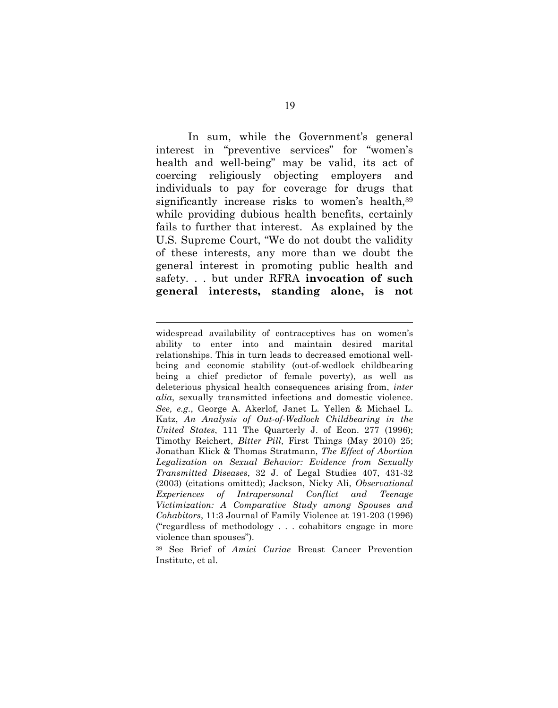In sum, while the Government's general interest in "preventive services" for "women's health and well-being" may be valid, its act of coercing religiously objecting employers and individuals to pay for coverage for drugs that significantly increase risks to women's health, 39 while providing dubious health benefits, certainly fails to further that interest. As explained by the U.S. Supreme Court, "We do not doubt the validity of these interests, any more than we doubt the general interest in promoting public health and safety. . . but under RFRA **invocation of such general interests, standing alone, is not** 

widespread availability of contraceptives has on women's ability to enter into and maintain desired marital relationships. This in turn leads to decreased emotional wellbeing and economic stability (out-of-wedlock childbearing being a chief predictor of female poverty), as well as deleterious physical health consequences arising from, *inter alia*, sexually transmitted infections and domestic violence. *See, e.g.*, George A. Akerlof, Janet L. Yellen & Michael L. Katz, *An Analysis of Out-of-Wedlock Childbearing in the United States*, 111 The Quarterly J. of Econ. 277 (1996); Timothy Reichert, *Bitter Pill*, First Things (May 2010) 25; Jonathan Klick & Thomas Stratmann, *The Effect of Abortion Legalization on Sexual Behavior: Evidence from Sexually Transmitted Diseases*, 32 J. of Legal Studies 407, 431-32 (2003) (citations omitted); Jackson, Nicky Ali, *Observational Experiences of Intrapersonal Conflict and Teenage Victimization: A Comparative Study among Spouses and Cohabitors*, 11:3 Journal of Family Violence at 191-203 (1996) ("regardless of methodology . . . cohabitors engage in more violence than spouses").

<sup>39</sup> See Brief of *Amici Curiae* Breast Cancer Prevention Institute, et al.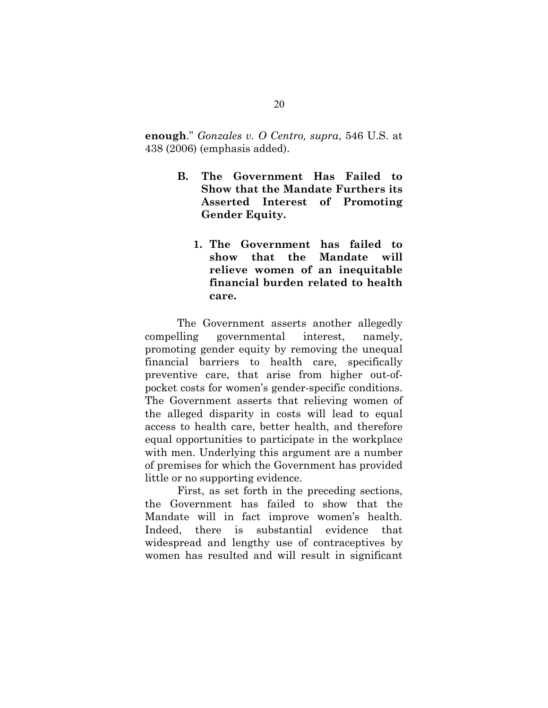**enough**." *Gonzales v. O Centro, supra*, 546 U.S. at 438 (2006) (emphasis added).

- **B. The Government Has Failed to Show that the Mandate Furthers its Asserted Interest of Promoting Gender Equity.**
	- **1. The Government has failed to show that the Mandate will relieve women of an inequitable financial burden related to health care.**

The Government asserts another allegedly compelling governmental interest, namely, promoting gender equity by removing the unequal financial barriers to health care, specifically preventive care, that arise from higher out-ofpocket costs for women's gender-specific conditions. The Government asserts that relieving women of the alleged disparity in costs will lead to equal access to health care, better health, and therefore equal opportunities to participate in the workplace with men. Underlying this argument are a number of premises for which the Government has provided little or no supporting evidence.

First, as set forth in the preceding sections, the Government has failed to show that the Mandate will in fact improve women's health. Indeed, there is substantial evidence that widespread and lengthy use of contraceptives by women has resulted and will result in significant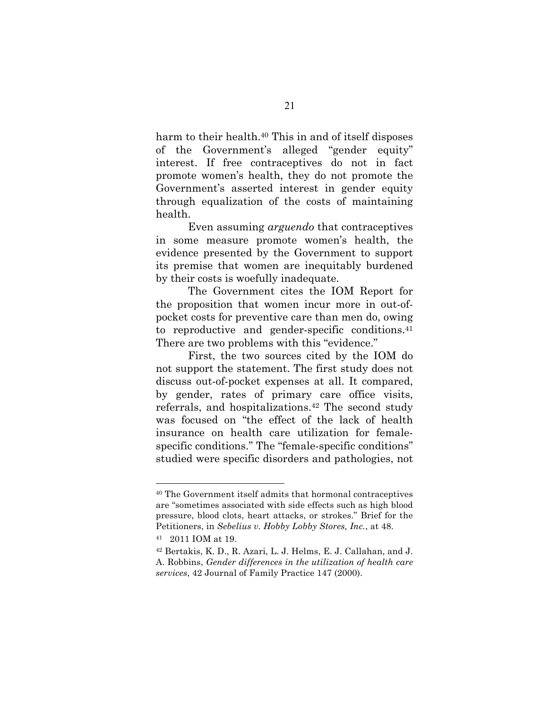harm to their health.<sup>40</sup> This in and of itself disposes of the Government's alleged "gender equity" interest. If free contraceptives do not in fact promote women's health, they do not promote the Government's asserted interest in gender equity through equalization of the costs of maintaining health.

Even assuming *arguendo* that contraceptives in some measure promote women's health, the evidence presented by the Government to support its premise that women are inequitably burdened by their costs is woefully inadequate.

The Government cites the IOM Report for the proposition that women incur more in out-ofpocket costs for preventive care than men do, owing to reproductive and gender-specific conditions.41 There are two problems with this "evidence."

First, the two sources cited by the IOM do not support the statement. The first study does not discuss out-of-pocket expenses at all. It compared, by gender, rates of primary care office visits, referrals, and hospitalizations.42 The second study was focused on "the effect of the lack of health insurance on health care utilization for femalespecific conditions." The "female-specific conditions" studied were specific disorders and pathologies, not

<sup>40</sup> The Government itself admits that hormonal contraceptives are "sometimes associated with side effects such as high blood pressure, blood clots, heart attacks, or strokes." Brief for the Petitioners, in *Sebelius v. Hobby Lobby Stores, Inc.*, at 48.

<sup>41 2011</sup> IOM at 19.

<sup>42</sup> Bertakis, K. D., R. Azari, L. J. Helms, E. J. Callahan, and J. A. Robbins, *Gender differences in the utilization of health care services*, 42 Journal of Family Practice 147 (2000).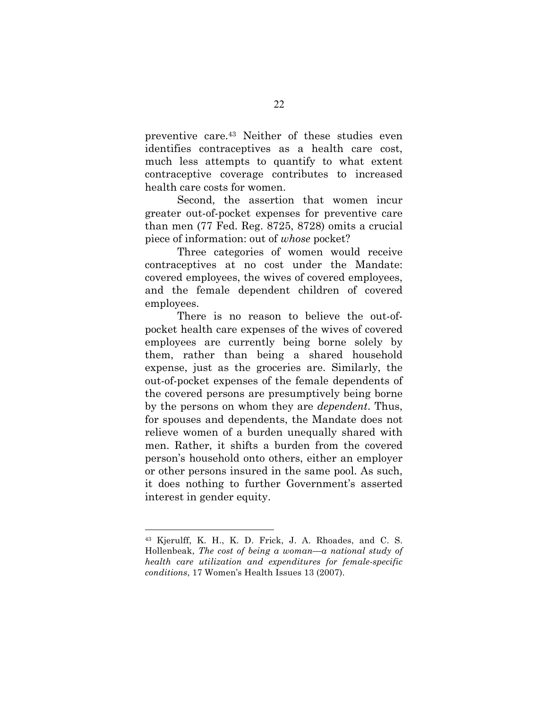preventive care.43 Neither of these studies even identifies contraceptives as a health care cost, much less attempts to quantify to what extent contraceptive coverage contributes to increased health care costs for women.

Second, the assertion that women incur greater out-of-pocket expenses for preventive care than men (77 Fed. Reg. 8725, 8728) omits a crucial piece of information: out of *whose* pocket?

Three categories of women would receive contraceptives at no cost under the Mandate: covered employees, the wives of covered employees, and the female dependent children of covered employees.

There is no reason to believe the out-ofpocket health care expenses of the wives of covered employees are currently being borne solely by them, rather than being a shared household expense, just as the groceries are. Similarly, the out-of-pocket expenses of the female dependents of the covered persons are presumptively being borne by the persons on whom they are *dependent*. Thus, for spouses and dependents, the Mandate does not relieve women of a burden unequally shared with men. Rather, it shifts a burden from the covered person's household onto others, either an employer or other persons insured in the same pool. As such, it does nothing to further Government's asserted interest in gender equity.

<sup>43</sup> Kjerulff, K. H., K. D. Frick, J. A. Rhoades, and C. S. Hollenbeak, *The cost of being a woman—a national study of health care utilization and expenditures for female-specific conditions*, 17 Women's Health Issues 13 (2007).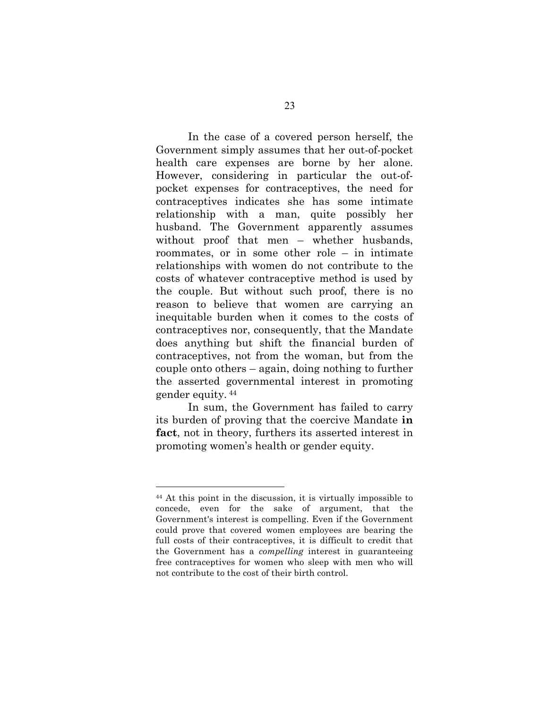In the case of a covered person herself, the Government simply assumes that her out-of-pocket health care expenses are borne by her alone. However, considering in particular the out-ofpocket expenses for contraceptives, the need for contraceptives indicates she has some intimate relationship with a man, quite possibly her husband. The Government apparently assumes without proof that men – whether husbands, roommates, or in some other role – in intimate relationships with women do not contribute to the costs of whatever contraceptive method is used by the couple. But without such proof, there is no reason to believe that women are carrying an inequitable burden when it comes to the costs of contraceptives nor, consequently, that the Mandate does anything but shift the financial burden of contraceptives, not from the woman, but from the couple onto others – again, doing nothing to further the asserted governmental interest in promoting gender equity. <sup>44</sup>

In sum, the Government has failed to carry its burden of proving that the coercive Mandate **in fact**, not in theory, furthers its asserted interest in promoting women's health or gender equity.

<sup>44</sup> At this point in the discussion, it is virtually impossible to concede, even for the sake of argument, that the Government's interest is compelling. Even if the Government could prove that covered women employees are bearing the full costs of their contraceptives, it is difficult to credit that the Government has a *compelling* interest in guaranteeing free contraceptives for women who sleep with men who will not contribute to the cost of their birth control.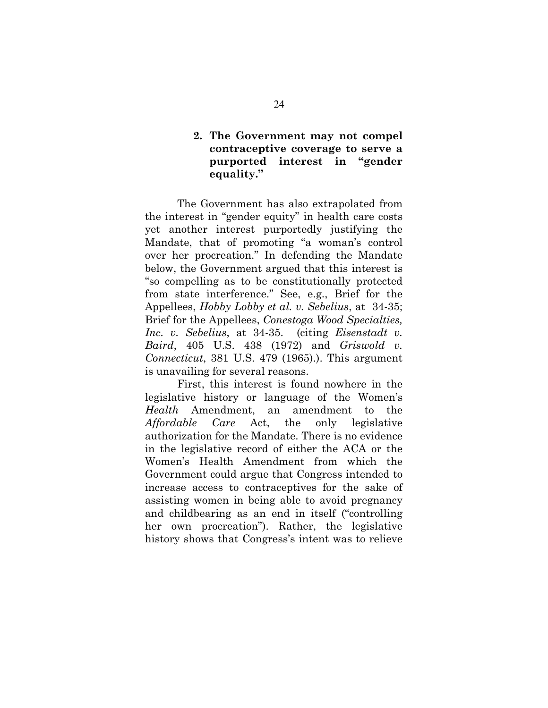### **2. The Government may not compel contraceptive coverage to serve a purported interest in "gender equality."**

The Government has also extrapolated from the interest in "gender equity" in health care costs yet another interest purportedly justifying the Mandate, that of promoting "a woman's control over her procreation." In defending the Mandate below, the Government argued that this interest is "so compelling as to be constitutionally protected from state interference." See, e.g., Brief for the Appellees, *Hobby Lobby et al. v. Sebelius*, at 34-35; Brief for the Appellees, *Conestoga Wood Specialties, Inc. v. Sebelius*, at 34-35. (citing *Eisenstadt v. Baird*, 405 U.S. 438 (1972) and *Griswold v. Connecticut*, 381 U.S. 479 (1965).). This argument is unavailing for several reasons.

First, this interest is found nowhere in the legislative history or language of the Women's *Health* Amendment, an amendment to the *Affordable Care* Act, the only legislative authorization for the Mandate. There is no evidence in the legislative record of either the ACA or the Women's Health Amendment from which the Government could argue that Congress intended to increase access to contraceptives for the sake of assisting women in being able to avoid pregnancy and childbearing as an end in itself ("controlling her own procreation"). Rather, the legislative history shows that Congress's intent was to relieve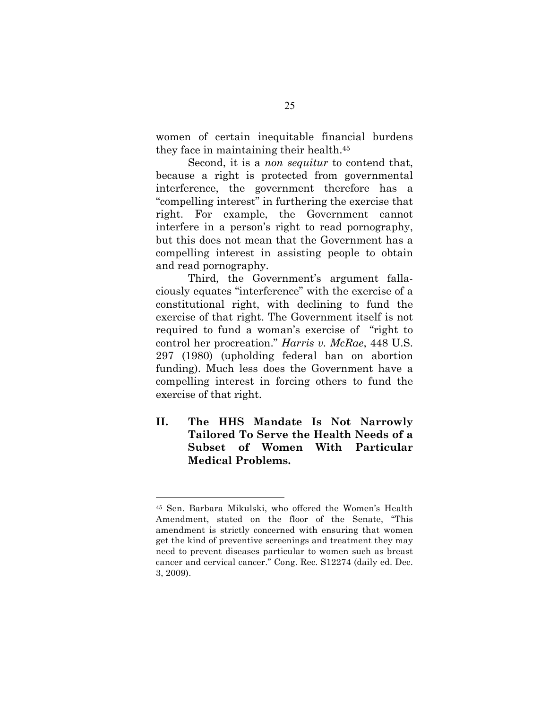women of certain inequitable financial burdens they face in maintaining their health.45

Second, it is a *non sequitur* to contend that, because a right is protected from governmental interference, the government therefore has a "compelling interest" in furthering the exercise that right. For example, the Government cannot interfere in a person's right to read pornography, but this does not mean that the Government has a compelling interest in assisting people to obtain and read pornography.

Third, the Government's argument fallaciously equates "interference" with the exercise of a constitutional right, with declining to fund the exercise of that right. The Government itself is not required to fund a woman's exercise of "right to control her procreation." *Harris v. McRae*, 448 U.S. 297 (1980) (upholding federal ban on abortion funding). Much less does the Government have a compelling interest in forcing others to fund the exercise of that right.

**II. The HHS Mandate Is Not Narrowly Tailored To Serve the Health Needs of a Subset of Women With Particular Medical Problems.**

<sup>45</sup> Sen. Barbara Mikulski, who offered the Women's Health Amendment, stated on the floor of the Senate, "This amendment is strictly concerned with ensuring that women get the kind of preventive screenings and treatment they may need to prevent diseases particular to women such as breast cancer and cervical cancer." Cong. Rec. S12274 (daily ed. Dec. 3, 2009).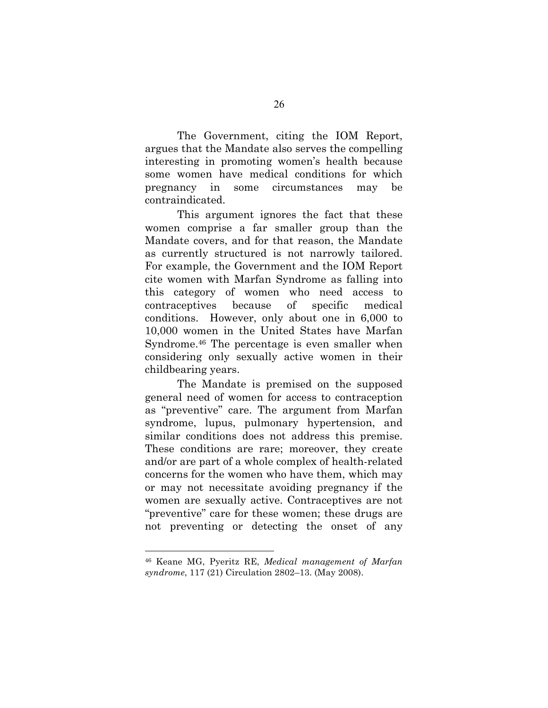The Government, citing the IOM Report, argues that the Mandate also serves the compelling interesting in promoting women's health because some women have medical conditions for which pregnancy in some circumstances may be contraindicated.

This argument ignores the fact that these women comprise a far smaller group than the Mandate covers, and for that reason, the Mandate as currently structured is not narrowly tailored. For example, the Government and the IOM Report cite women with Marfan Syndrome as falling into this category of women who need access to contraceptives because of specific medical conditions. However, only about one in 6,000 to 10,000 women in the United States have Marfan Syndrome.46 The percentage is even smaller when considering only sexually active women in their childbearing years.

The Mandate is premised on the supposed general need of women for access to contraception as "preventive" care. The argument from Marfan syndrome, lupus, pulmonary hypertension, and similar conditions does not address this premise. These conditions are rare; moreover, they create and/or are part of a whole complex of health-related concerns for the women who have them, which may or may not necessitate avoiding pregnancy if the women are sexually active. Contraceptives are not "preventive" care for these women; these drugs are not preventing or detecting the onset of any

<sup>46</sup> Keane MG, Pyeritz RE, *Medical management of Marfan syndrome*, 117 (21) Circulation 2802–13. (May 2008).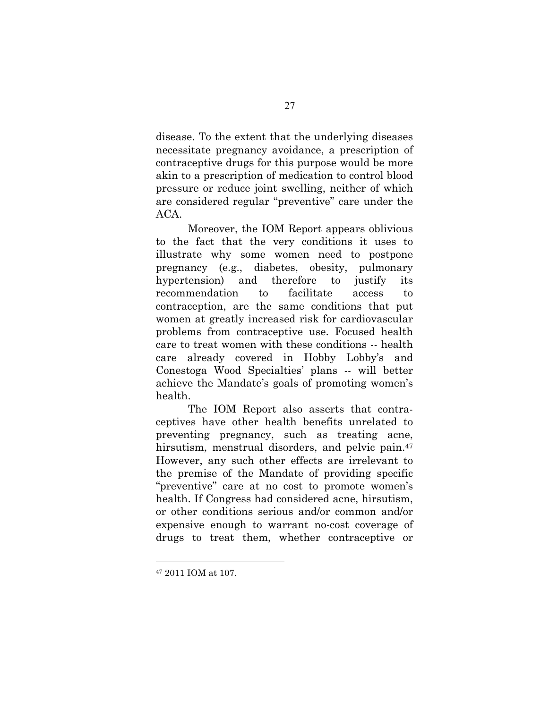disease. To the extent that the underlying diseases necessitate pregnancy avoidance, a prescription of contraceptive drugs for this purpose would be more akin to a prescription of medication to control blood pressure or reduce joint swelling, neither of which are considered regular "preventive" care under the ACA.

Moreover, the IOM Report appears oblivious to the fact that the very conditions it uses to illustrate why some women need to postpone pregnancy (e.g., diabetes, obesity, pulmonary hypertension) and therefore to justify its recommendation to facilitate access to contraception, are the same conditions that put women at greatly increased risk for cardiovascular problems from contraceptive use. Focused health care to treat women with these conditions -- health care already covered in Hobby Lobby's and Conestoga Wood Specialties' plans -- will better achieve the Mandate's goals of promoting women's health.

The IOM Report also asserts that contraceptives have other health benefits unrelated to preventing pregnancy, such as treating acne, hirsutism, menstrual disorders, and pelvic pain.<sup>47</sup> However, any such other effects are irrelevant to the premise of the Mandate of providing specific "preventive" care at no cost to promote women's health. If Congress had considered acne, hirsutism, or other conditions serious and/or common and/or expensive enough to warrant no-cost coverage of drugs to treat them, whether contraceptive or

<sup>47</sup> 2011 IOM at 107.